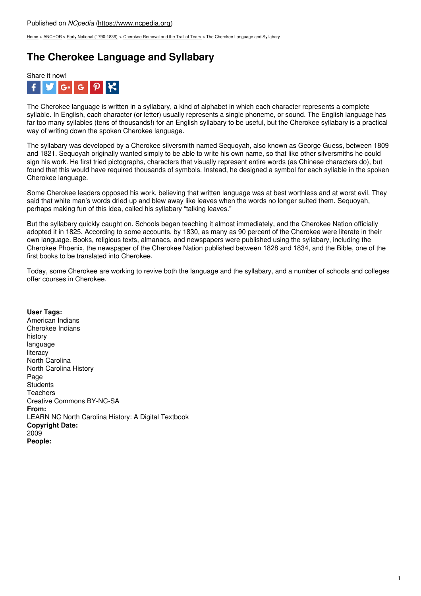[Home](https://www.ncpedia.org/) > [ANCHOR](https://www.ncpedia.org/anchor/anchor) > Early National [\(1790-1836\)](https://www.ncpedia.org/anchor/early-national-1790-1836) > [Cherokee](https://www.ncpedia.org/anchor/cherokee-removal-and-trail) Removal and the Trail of Tears > The Cherokee Language and Syllabary

# **The Cherokee Language and Syllabary**



The Cherokee language is written in a syllabary, a kind of alphabet in which each character represents a complete syllable. In English, each character (or letter) usually represents a single phoneme, or sound. The English language has far too many syllables (tens of thousands!) for an English syllabary to be useful, but the Cherokee syllabary is a practical way of writing down the spoken Cherokee language.

The syllabary was developed by a Cherokee silversmith named Sequoyah, also known as George Guess, between 1809 and 1821. Sequoyah originally wanted simply to be able to write his own name, so that like other silversmiths he could sign his work. He first tried pictographs, characters that visually represent entire words (as Chinese characters do), but found that this would have required thousands of symbols. Instead, he designed a symbol for each syllable in the spoken Cherokee language.

Some Cherokee leaders opposed his work, [believing](http://www.social9.com) that written language was at best worthless and at worst evil. They said that white man's words dried up and blew away like leaves when the words no longer suited them. Sequoyah, perhaps making fun of this idea, called his syllabary "talking leaves."

But the syllabary quickly caught on. Schools began teaching it almost immediately, and the Cherokee Nation officially adopted it in 1825. According to some accounts, by 1830, as many as 90 percent of the Cherokee were literate in their own language. Books, religious texts, almanacs, and newspapers were published using the syllabary, including the Cherokee Phoenix, the newspaper of the Cherokee Nation published between 1828 and 1834, and the Bible, one of the first books to be translated into Cherokee.

Today, some Cherokee are working to revive both the language and the syllabary, and a number of schools and colleges offer courses in Cherokee.

**User Tags:** American Indians Cherokee Indians history language literacy North Carolina North Carolina History Page **Students Teachers** Creative Commons BY-NC-SA **From:** LEARN NC North Carolina History: A Digital Textbook **Copyright Date:** 2009 **People:**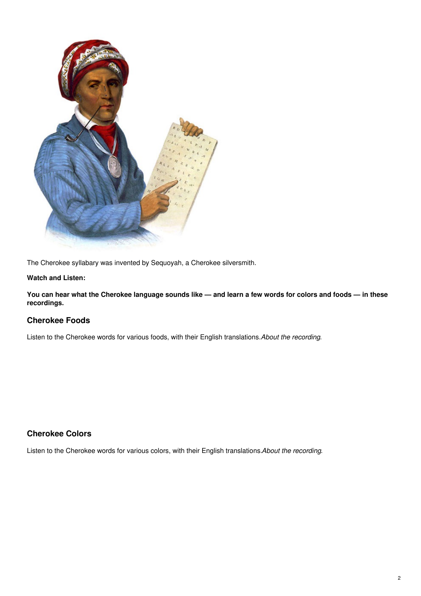

The Cherokee syllabary was invented by Sequoyah, a Cherokee silversmith.

### **Watch and Listen:**

You can hear what the Cherokee language sounds like - and learn a few words for colors and foods - in these **recordings.**

### **Cherokee Foods**

Listen to the Cherokee words for various foods, with their English translations.*About the recording*.

## **Cherokee Colors**

Listen to the Cherokee words for various colors, with their English translations.*About the recording*.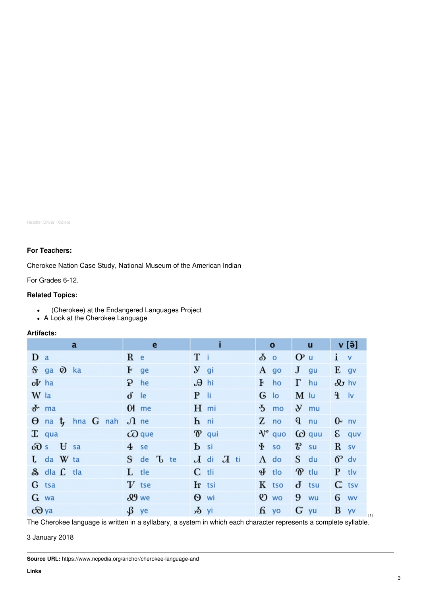Heather Driver · Colors

### **For Teachers:**

Cherokee Nation Case Study, National Museum of the American Indian

For Grades 6-12.

### **Related Topics:**

- (Cherokee) at the Endangered Languages Project
- A Look at the Cherokee Language

#### **Artifacts:**

| a                                          | e                    |                            | $\mathbf{o}$              | u                      | v [ə̃]                 |
|--------------------------------------------|----------------------|----------------------------|---------------------------|------------------------|------------------------|
| D a                                        | $R$ e                | T i                        | $\delta$ o                | $Op$ u                 | $i \vee$               |
| S ga <b>Q</b> ka                           | $F$ ge               | $y_{gi}$                   | A go                      | $J$ gu                 | $E$ gv                 |
| $\boldsymbol{\mathrm{d}}\boldsymbol{V}$ ha | $P$ he               | $\theta$ hi                | $\mathbf{F}$<br>ho        | $\Gamma$ hu            | $\mathcal{Q}_J$ hv     |
| W la                                       | $\delta$ le          | $P$ li                     | $G$ lo                    | $M$ lu                 | $v \in$                |
| $\sigma$ ma                                | $M$ me               | $H$ mi                     | $5 \text{ mo}$            | $\mathbf{y}$ mu        |                        |
| $\Theta$ na $t_f$ hna $G$ nah              | $\Lambda$ ne         | $h$ ni                     | $Z$ no                    | $q$ nu                 | $0\nu$ nv              |
| $\mathbf{T}$ qua                           | $\omega$ que         | $\mathbf{\mathcal{D}}$ qui | $\mathcal{V}^{\circ}$ quo | (c) quu                | $\epsilon$ quv         |
| $\partial\mathbf{\partial} s$ $\forall$ sa | $4$ se               | <b>b</b> si                | $\mathbf{F}$ so           | $8$ su                 | $R$ sv                 |
| $L$ da $W$ ta                              | S de <sup>L</sup> te | $J$ di $J$ ti              | $\Lambda$ do              | $S$ du                 | $6^{\circ}$ dv         |
| & dla L tla                                | L tle                | $C$ tli                    | $\mathbf{\Psi}$ tlo       | $\mathbf{\hat{v}}$ tlu | $P$ tlv                |
| G tsa                                      | $V$ tse              | Ir tsi                     | K tso                     | $\mathbf{d}$ tsu       | $C^*$ tsv              |
| $G$ wa                                     | $9.9$ we             | $\Theta$ wi                | $Q$ wo                    | $9$ wu                 | 6 wv                   |
| $\overline{\mathcal{O}}$ ya                | $\beta$ ye           | $\sqrt{2}$ yi              | $f$ yo                    | $G$ yu                 | $\mathbf{B}$ yv<br>[1] |

The Cherokee language is written in a syllabary, a system in which each character represents a complete syllable.

3 January 2018

**Source URL:** https://www.ncpedia.org/anchor/cherokee-language-and